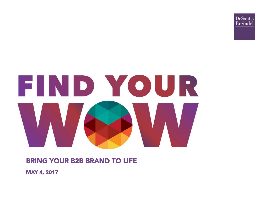

# FIND YOUR

#### BRING YOUR B2B BRAND TO LIFE

MAY 4, 2017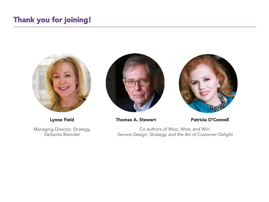#### Thank you for joining!



Managing Director, Strategy, DeSantis Breindel







Co-authors of *Woo, Wow, and Win: Service Design, Strategy, and the Art of Customer Delight*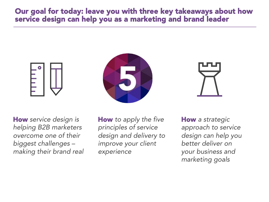#### Our goal for today: leave you with three key takeaways about how service design can help you as a marketing and brand leader







How *service design is helping B2B marketers overcome one of their biggest challenges – making their brand real* How *to apply the five principles of service design and delivery to improve your client experience*

How *a strategic approach to service design can help you better deliver on your business and marketing goals*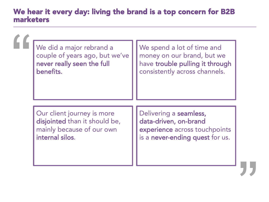#### We hear it every day: living the brand is a top concern for B2B marketers

| We did a major rebrand a<br>couple of years ago, but we've<br>never really seen the full<br>benefits.       | We spend a lot of time and<br>money on our brand, but we<br>have trouble pulling it through<br>consistently across channels. |  |
|-------------------------------------------------------------------------------------------------------------|------------------------------------------------------------------------------------------------------------------------------|--|
| Our client journey is more<br>disjointed than it should be,<br>mainly because of our own<br>internal silos. | Delivering a seamless,<br>data-driven, on-brand<br>experience across touchpoints<br>is a never-ending quest for us.          |  |
|                                                                                                             |                                                                                                                              |  |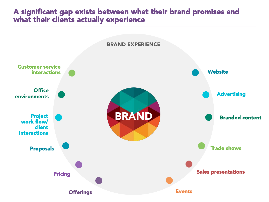#### A significant gap exists between what their brand promises and what their clients actually experience

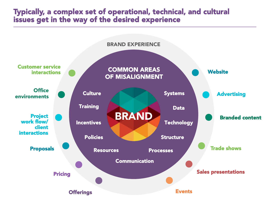#### Typically, a complex set of operational, technical, and cultural issues get in the way of the desired experience

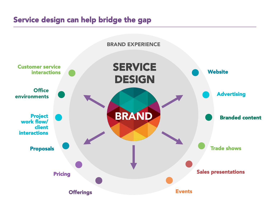#### Service design can help bridge the gap

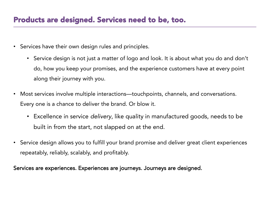- Services have their own design rules and principles.
	- Service design is not just a matter of logo and look. It is about what you do and don't do, how you keep your promises, and the experience customers have at every point along their journey with you.
- Most services involve multiple interactions—touchpoints, channels, and conversations. Every one is a chance to deliver the brand. Or blow it.
	- Excellence in service *delivery*, like quality in manufactured goods, needs to be built in from the start, not slapped on at the end.
- Service design allows you to fulfill your brand promise and deliver great client experiences repeatably, reliably, scalably, and profitably.

#### Services are experiences. Experiences are journeys. Journeys are designed.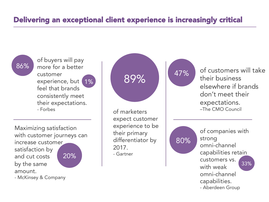#### Delivering an exceptional client experience is increasingly critical

of buyers will pay<br>86% more for a better more for a better customer experience, but 1% feel that brands consistently meet their expectations. - Forbes

Maximizing satisfaction with customer journeys can increase customer satisfaction by and cut costs by the same amount. 20%

- McKinsey & Company



47%

of customers will take their business elsewhere if brands don't meet their expectations. –The CMO Council

80% of companies with strong omni-channel capabilities retain customers vs. with weak omni-channel capabilities. - Aberdeen Group 33%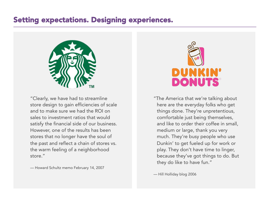#### Setting expectations. Designing experiences.



"Clearly, we have had to streamline store design to gain efficiencies of scale and to make sure we had the ROI on sales to investment ratios that would satisfy the financial side of our business. However, one of the results has been stores that no longer have the soul of the past and reflect a chain of stores vs. the warm feeling of a neighborhood store."

— Howard Schultz memo February 14, 2007



"The America that we're talking about here are the everyday folks who get things done. They're unpretentious, comfortable just being themselves, and like to order their coffee in small, medium or large, thank you very much. They're busy people who use Dunkin' to get fueled up for work or play. They don't have time to linger, because they've got things to do. But they do like to have fun."

— Hill Holliday blog 2006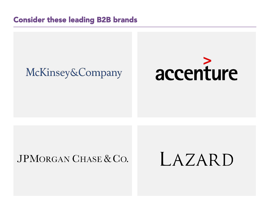#### Consider these leading B2B brands

# **McKinsey&Company**

# accenture

#### JPMORGAN CHASE & CO.

LAZARD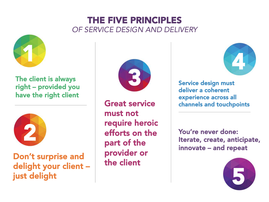#### THE FIVE PRINCIPLES *OF SERVICE DESIGN AND DELIVERY*



The client is always right – provided you have the right client



Don't surprise and delight your client – just delight



Great service must not require heroic efforts on the part of the provider or the client



Service design must deliver a coherent experience across all channels and touchpoints

You're never done: Iterate, create, anticipate, innovate – and repeat

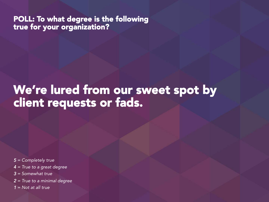# We're lured from our sweet spot by client requests or fads.

- *5 = Completely true*
- *4 = True to a great degree*
- *3 = Somewhat true*
- *2 = True to a minimal degree*
- *1 = Not at all true*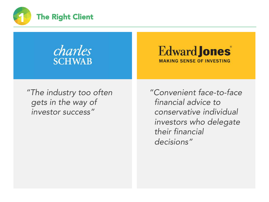

charles **SCHWAB** 

#### **Edward Jones MAKING SENSE OF INVESTING**

*"The industry too often gets in the way of investor success"*

*"Convenient face-to-face financial advice to conservative individual investors who delegate their financial decisions"*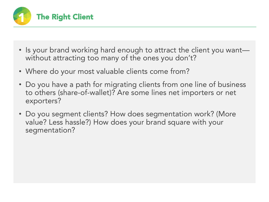

- Is your brand working hard enough to attract the client you want without attracting too many of the ones you don't?
- Where do your most valuable clients come from?
- Do you have a path for migrating clients from one line of business to others (share-of-wallet)? Are some lines net importers or net exporters?
- Do you segment clients? How does segmentation work? (More value? Less hassle?) How does your brand square with your segmentation?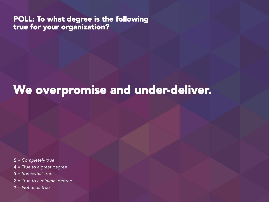### We overpromise and under-deliver.

- *5 = Completely true*
- *4 = True to a great degree*
- *3 = Somewhat true*
- *2 = True to a minimal degree*
- *1 = Not at all true*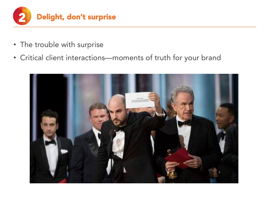

- The trouble with surprise
- Critical client interactions—moments of truth for your brand

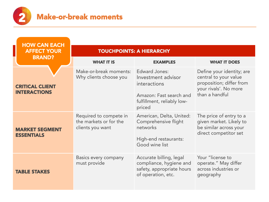

| <b>HOW CAN EACH</b>                           |                                                                      |                                                                                                                               |                                                                                                                           |  |
|-----------------------------------------------|----------------------------------------------------------------------|-------------------------------------------------------------------------------------------------------------------------------|---------------------------------------------------------------------------------------------------------------------------|--|
| <b>AFFECT YOUR</b>                            | <b>TOUCHPOINTS: A HIERARCHY</b>                                      |                                                                                                                               |                                                                                                                           |  |
| <b>BRAND?</b>                                 | <b>WHAT IT IS</b>                                                    | <b>EXAMPLES</b>                                                                                                               | <b>WHAT IT DOES</b>                                                                                                       |  |
| <b>CRITICAL CLIENT</b><br><b>INTERACTIONS</b> | Make-or-break moments:<br>Why clients choose you                     | <b>Edward Jones:</b><br>Investment advisor<br>interactions<br>Amazon: Fast search and<br>fulfillment, reliably low-<br>priced | Define your identity; are<br>central to your value<br>proposition; differ from<br>your rivals'. No more<br>than a handful |  |
| <b>MARKET SEGMENT</b><br><b>ESSENTIALS</b>    | Required to compete in<br>the markets or for the<br>clients you want | American, Delta, United:<br>Comprehensive flight<br>networks<br>High-end restaurants:<br>Good wine list                       | The price of entry to a<br>given market. Likely to<br>be similar across your<br>direct competitor set                     |  |
| <b>TABLE STAKES</b>                           | Basics every company<br>must provide                                 | Accurate billing, legal<br>compliance, hygiene and<br>safety, appropriate hours<br>of operation, etc.                         | Your "license to<br>operate." May differ<br>across industries or<br>geography                                             |  |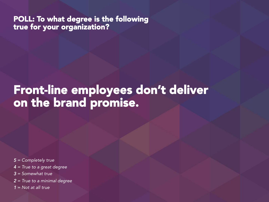# Front-line employees don't deliver on the brand promise.

- *5 = Completely true*
- *4 = True to a great degree*
- *3 = Somewhat true*
- *2 = True to a minimal degree*
- *1 = Not at all true*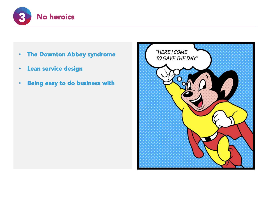

- The Downton Abbey syndrome
- Lean service design
- Being easy to do business with

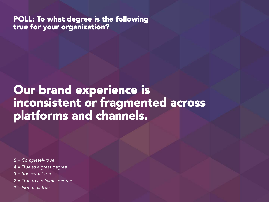# Our brand experience is inconsistent or fragmented across platforms and channels.

- *5 = Completely true*
- *4 = True to a great degree*
- *3 = Somewhat true*
- *2 = True to a minimal degree*
- *1 = Not at all true*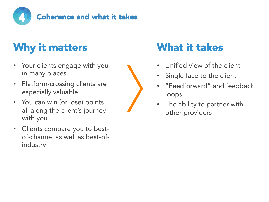

# Why it matters

- Your clients engage with you in many places
- Platform-crossing clients are especially valuable
- You can win (or lose) points all along the client's journey with you
- Clients compare you to bestof-channel as well as best-ofindustry



# What it takes

- Unified view of the client
- Single face to the client
- "Feedforward" and feedback loops
- The ability to partner with other providers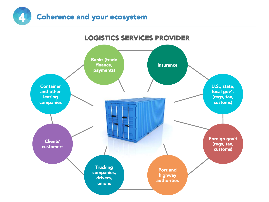

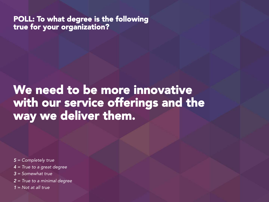# We need to be more innovative with our service offerings and the way we deliver them.

- *5 = Completely true*
- *4 = True to a great degree*
- *3 = Somewhat true*
- *2 = True to a minimal degree*
- *1 = Not at all true*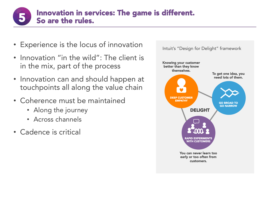

- Experience is the locus of innovation
- Innovation "in the wild": The client is in the mix, part of the process
- Innovation can and should happen at touchpoints all along the value chain
- Coherence must be maintained
	- Along the journey
	- Across channels
- Cadence is critical

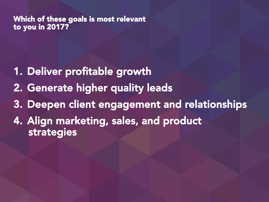Which of these goals is most relevant to you in 2017?

- 1. Deliver profitable growth
- 2. Generate higher quality leads
- 3. Deepen client engagement and relationships
- 4. Align marketing, sales, and product **strategies**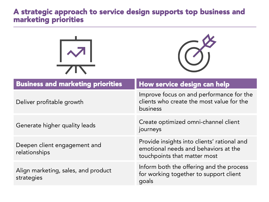#### A strategic approach to service design supports top business and marketing priorities





| <b>Business and marketing priorities</b>          | How service design can help                                                                                         |  |  |  |
|---------------------------------------------------|---------------------------------------------------------------------------------------------------------------------|--|--|--|
| Deliver profitable growth                         | Improve focus on and performance for the<br>clients who create the most value for the<br>business                   |  |  |  |
| Generate higher quality leads                     | Create optimized omni-channel client<br>journeys                                                                    |  |  |  |
| Deepen client engagement and<br>relationships     | Provide insights into clients' rational and<br>emotional needs and behaviors at the<br>touchpoints that matter most |  |  |  |
| Align marketing, sales, and product<br>strategies | Inform both the offering and the process<br>for working together to support client<br>goals                         |  |  |  |